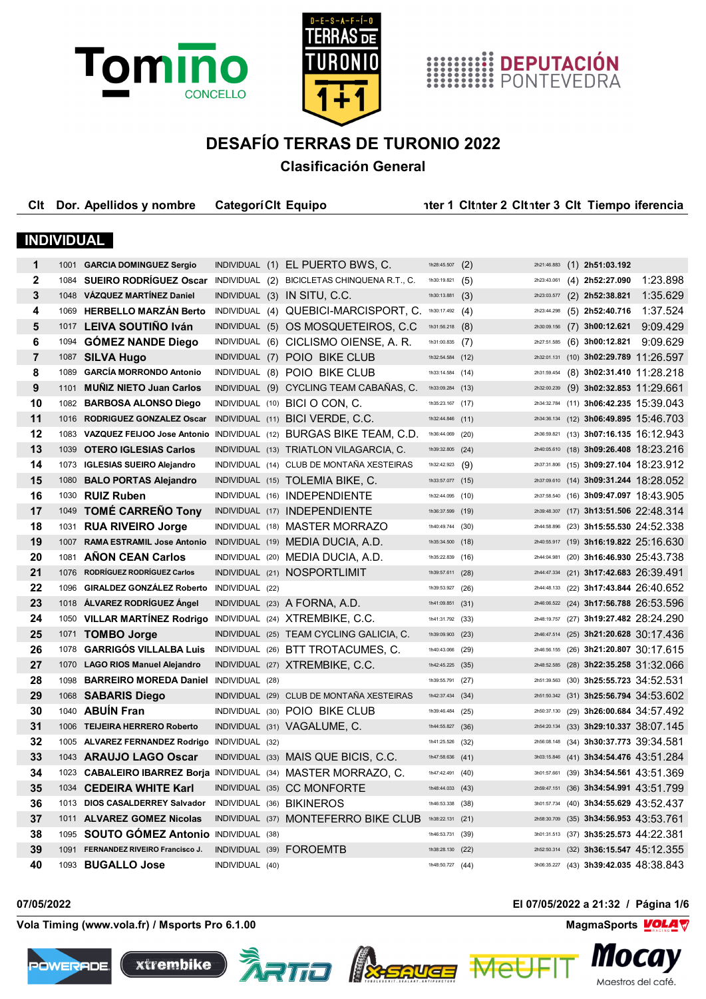





## **DESAFÍO TERRAS DE TURONIO 2022 Clasificación General**

| Clt               |      | Dor. Apellidos y nombre                                         | <b>CategoriClt Equipo</b> |                                                                     |                   | nter 1 Citnter 2 Citnter 3 Cit Tiempo iferencia |             |                   |                                          |
|-------------------|------|-----------------------------------------------------------------|---------------------------|---------------------------------------------------------------------|-------------------|-------------------------------------------------|-------------|-------------------|------------------------------------------|
| <b>INDIVIDUAL</b> |      |                                                                 |                           |                                                                     |                   |                                                 |             |                   |                                          |
|                   |      |                                                                 |                           |                                                                     |                   |                                                 |             |                   |                                          |
| 1                 |      | 1001 GARCIA DOMINGUEZ Sergio                                    |                           | INDIVIDUAL (1) EL PUERTO BWS, C.                                    | 1h28:45.507       | (2)                                             | 2h21:46.883 | $(1)$ 2h51:03.192 |                                          |
| $\mathbf{2}$      | 1084 |                                                                 |                           | SUEIRO RODRÍGUEZ Oscar INDIVIDUAL (2) BICICLETAS CHINQUENA R.T., C. | 1h30:19.821       | (5)                                             | 2h23:43.061 | $(4)$ 2h52:27.090 | 1:23.898                                 |
| 3                 |      | 1048 VÁZQUEZ MARTÍNEZ Daniel                                    |                           | INDIVIDUAL (3) IN SITU, C.C.                                        | 1h30:13.881       | (3)                                             | 2h23:03.577 | $(2)$ 2h52:38.821 | 1:35.629                                 |
| 4                 |      | 1069 HERBELLO MARZAN Berto                                      |                           | INDIVIDUAL (4) QUEBICI-MARCISPORT, C.                               | 1h30:17.492 $(4)$ |                                                 | 2h23:44.298 | $(5)$ 2h52:40.716 | 1:37.524                                 |
| 5                 |      | 1017 LEIVA SOUTIÑO Iván                                         |                           | INDIVIDUAL (5) OS MOSQUETEIROS, C.C                                 | 1h31:56.218       | (8)                                             | 2h30:09.156 | $(7)$ 3h00:12.621 | 9:09.429                                 |
| 6                 | 1094 | <b>GÓMEZ NANDE Diego</b>                                        |                           | INDIVIDUAL (6) CICLISMO OIENSE, A. R.                               | 1h31:00.835       | (7)                                             | 2h27:51.585 | $(6)$ 3h00:12.821 | 9:09.629                                 |
| $\overline{7}$    |      | 1087 SILVA Hugo                                                 |                           | INDIVIDUAL (7) POIO BIKE CLUB                                       | 1h32:54.584       | (12)                                            | 2h32:01.131 |                   | $(10)$ 3h02:29.789 11:26.597             |
| 8                 | 1089 | <b>GARCÍA MORRONDO Antonio</b>                                  |                           | INDIVIDUAL (8) POIO BIKE CLUB                                       | 1h33:14.584       | (14)                                            | 2h31:59.454 |                   | $(8)$ 3h02:31.410 11:28.218              |
| 9                 |      | 1101 MUÑIZ NIETO Juan Carlos                                    |                           | INDIVIDUAL (9) CYCLING TEAM CABAÑAS, C.                             | 1h33:09.284       | (13)                                            | 2h32:00.239 |                   | $(9)$ 3h02:32.853 11:29.661              |
| 10                |      | 1082 BARBOSA ALONSO Diego                                       |                           | INDIVIDUAL (10) BICI O CON, C.                                      | 1h35:23.167       | (17)                                            | 2h34:32.784 |                   | $(11)$ 3h06:42.235 15:39.043             |
| 11                | 1016 | <b>RODRIGUEZ GONZALEZ Oscar</b>                                 |                           | INDIVIDUAL (11) BICI VERDE, C.C.                                    | 1h32:44.846       | (11)                                            | 2h34:36.134 |                   | $(12)$ 3h06:49.895 15:46.703             |
| $12 \,$           |      | 1083 VAZQUEZ FEIJOO Jose Antonio                                |                           | INDIVIDUAL (12) BURGAS BIKE TEAM, C.D.                              | 1h36:44.069       | (20)                                            | 2h36:59.821 |                   | $(13)$ 3h07:16.135 16:12.943             |
| 13                | 1039 | <b>OTERO IGLESIAS Carlos</b>                                    |                           | INDIVIDUAL (13) TRIATLON VILAGARCIA, C.                             | 1h39:32.805 (24)  |                                                 |             |                   | 2h40:05.610 (18) 3h09:26.408 18:23.216   |
| 14                |      | 1073 IGLESIAS SUEIRO Alejandro                                  |                           | INDIVIDUAL (14) CLUB DE MONTAÑA XESTEIRAS                           | 1h32:42.923       | (9)                                             |             |                   | 2h37:31.806 (15) 3h09:27.104 18:23.912   |
| 15                | 1080 | <b>BALO PORTAS Alejandro</b>                                    |                           | INDIVIDUAL (15) TOLEMIA BIKE, C.                                    | 1h33:57.077 (15)  |                                                 | 2h37:09.610 |                   | $(14)$ 3h09:31.244 18:28.052             |
| 16                |      | 1030 RUIZ Ruben                                                 |                           | INDIVIDUAL (16) INDEPENDIENTE                                       | 1h32:44.095       | (10)                                            | 2h37:58.540 |                   | (16) 3h09:47.097 18:43.905               |
| 17                | 1049 | <b>TOMÉ CARREÑO Tony</b>                                        |                           | INDIVIDUAL (17) INDEPENDIENTE                                       | 1h36:37.599       | (19)                                            | 2h39:48.307 |                   | $(17)$ 3h13:51.506 22:48.314             |
| 18                |      | 1031 RUA RIVEIRO Jorge                                          |                           | INDIVIDUAL (18) MASTER MORRAZO                                      | 1h40:49.744 (30)  |                                                 | 2h44:58.896 |                   | $(23)$ 3h15:55.530 24:52.338             |
| 19                |      | 1007 RAMA ESTRAMIL Jose Antonio                                 |                           | INDIVIDUAL (19) MEDIA DUCIA, A.D.                                   | 1h35:34.500 (18)  |                                                 | 2h40:55.917 |                   | $(19)$ 3h16:19.822 25:16.630             |
| 20                |      | 1081 AÑON CEAN Carlos                                           |                           | INDIVIDUAL (20) MEDIA DUCIA, A.D.                                   | 1h35:22.839       | (16)                                            | 2h44:04.981 |                   | $(20)$ 3h16:46.930 25:43.738             |
| 21                | 1076 | <b>RODRÍGUEZ RODRÍGUEZ Carlos</b>                               |                           | INDIVIDUAL (21) NOSPORTLIMIT                                        | 1h39:57.611 (28)  |                                                 | 2h44:47.334 |                   | $(21)$ 3h17:42.683 26:39.491             |
| 22                |      | 1096 GIRALDEZ GONZÁLEZ Roberto                                  | INDIVIDUAL (22)           |                                                                     | 1h39:53.927       | (26)                                            | 2h44:48.133 |                   | (22) 3h17:43.844 26:40.652               |
| 23                |      | 1018 ÁLVAREZ RODRÍGUEZ Ángel                                    |                           | INDIVIDUAL (23) A FORNA, A.D.                                       | 1h41:09.851       | (31)                                            | 2h46:06.522 |                   | $(24)$ 3h17:56.788 26:53.596             |
| 24                |      | 1050 VILLAR MARTINEZ Rodrigo INDIVIDUAL (24) XTREMBIKE, C.C.    |                           |                                                                     | 1h41:31.792 (33)  |                                                 | 2h48:19.757 |                   | (27) 3h19:27.482 28:24.290               |
| 25                |      | 1071 TOMBO Jorge                                                |                           | INDIVIDUAL (25) TEAM CYCLING GALICIA, C.                            | 1h39:09.903       | (23)                                            | 2h46:47.514 |                   | $(25)$ 3h21:20.628 30:17.436             |
| 26                | 1078 | <b>GARRIGÓS VILLALBA Luis</b>                                   |                           | INDIVIDUAL (26) BTT TROTACUMES, C.                                  | 1h40:43.066       | (29)                                            | 2h46:56.155 |                   | (26) 3h21:20.807 30:17.615               |
| 27                |      | 1070 LAGO RIOS Manuel Alejandro                                 |                           | INDIVIDUAL (27) XTREMBIKE, C.C.                                     | 1h42:45.225       | (35)                                            | 2h48:52.585 |                   | (28) 3h22:35.258 31:32.066               |
| 28                |      | 1098 BARREIRO MOREDA Daniel                                     | INDIVIDUAL (28)           |                                                                     | 1h39:55.791       | (27)                                            | 2h51:39.563 |                   | $(30)$ 3h25:55.723 34:52.531             |
| 29                | 1068 | <b>SABARIS Diego</b>                                            |                           | INDIVIDUAL (29) CLUB DE MONTAÑA XESTEIRAS                           | 1h42:37.434       | (34)                                            |             |                   | $2h51:50.342$ (31) 3h25:56.794 34:53.602 |
| 30                |      | 1040 ABUIN Fran                                                 |                           | INDIVIDUAL (30) POIO BIKE CLUB                                      | 1h39:46.484 (25)  |                                                 |             |                   | 2h50:37.130 (29) 3h26:00.684 34:57.492   |
| 31                |      | 1006 TEIJEIRA HERRERO Roberto                                   |                           | INDIVIDUAL (31) VAGALUME, C.                                        | 1h44:55.827 (36)  |                                                 |             |                   | 2h54:20.134 (33) 3h29:10.337 38:07.145   |
| 32                |      | 1005 ALVAREZ FERNANDEZ Rodrigo INDIVIDUAL (32)                  |                           |                                                                     | 1h41:25.526 (32)  |                                                 |             |                   | 2h56:08.148 (34) 3h30:37.773 39:34.581   |
| 33                |      | 1043 ARAUJO LAGO Oscar                                          |                           | INDIVIDUAL (33) MAIS QUE BICIS, C.C.                                | 1h47:58.636 (41)  |                                                 |             |                   | $3h03:15.846$ (41) 3h34:54.476 43:51.284 |
| 34                |      | 1023 CABALEIRO IBARREZ Borja INDIVIDUAL (34) MASTER MORRAZO, C. |                           |                                                                     | 1h47:42.491 (40)  |                                                 | 3h01:57.661 |                   | $(39)$ 3h34:54.561 43:51.369             |
| 35                |      | 1034 CEDEIRA WHITE Karl                                         |                           | INDIVIDUAL (35) CC MONFORTE                                         | 1h48:44.033 (43)  |                                                 | 2h59:47.151 |                   | $(36)$ 3h34:54.991 43:51.799             |
| 36                |      | 1013 DIOS CASALDERREY Salvador INDIVIDUAL (36) BIKINEROS        |                           |                                                                     | 1h46:53.338 (38)  |                                                 |             |                   | 3h01:57.734 (40) 3h34:55.629 43:52.437   |
| 37                |      | 1011 ALVAREZ GOMEZ Nicolas                                      |                           | INDIVIDUAL (37) MONTEFERRO BIKE CLUB                                | 1h38:22.131 (21)  |                                                 | 2h58:30.709 |                   | $(35)$ 3h34:56.953 43:53.761             |
| 38                |      | 1095 SOUTO GÓMEZ Antonio INDIVIDUAL (38)                        |                           |                                                                     | 1h46:53.731 (39)  |                                                 | 3h01:31.513 |                   | (37) <b>3h35:25.573</b> 44:22.381        |
| 39                |      | 1091 FERNANDEZ RIVEIRO Francisco J.                             | INDIVIDUAL (39) FOROEMTB  |                                                                     | 1h38:28.130 (22)  |                                                 |             |                   | $2h52:50.314$ (32) 3h36:15.547 45:12.355 |
| 40                |      | 1093 BUGALLO Jose                                               | INDIVIDUAL (40)           |                                                                     | 1h48:50.727 (44)  |                                                 |             |                   | 3h06:35.227 (43) 3h39:42.035 48:38.843   |

**Vola Timing (www.vola.fr) / Msports Pro 6.1.00 MagmaSports MagmaSports MagmaSports MagmaSports MagmaSports MagmaSports MagmaSports MagmaSports MagmaSports MagmaSports MagmaSports MagmaSports Mag** 









**07/05/2022 El 07/05/2022 a 21:32 / Página 1/6**

*III*ULU*J* 

Maestros del café.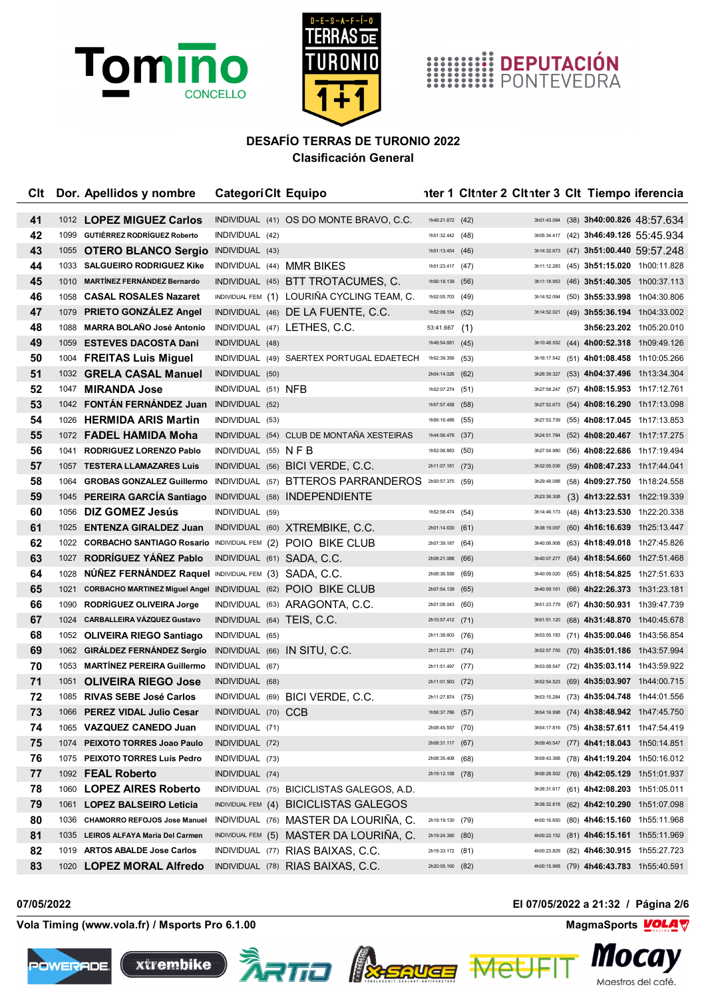



## **HIMILE DEPUTACIÓN**<br>**HIMILE PONTEVEDRA**

### **DESAFÍO TERRAS DE TURONIO 2022 Clasificación General**

| Clt |      | Dor. Apellidos y nombre                                       | <b>CategoriClt Equipo</b>  |                                                      |                    | nter 1 Citnter 2 Citnter 3 Cit Tiempo iferencia |             |  |                                          |
|-----|------|---------------------------------------------------------------|----------------------------|------------------------------------------------------|--------------------|-------------------------------------------------|-------------|--|------------------------------------------|
| 41  |      | 1012 LOPEZ MIGUEZ Carlos                                      |                            | INDIVIDUAL (41) OS DO MONTE BRAVO, C.C.              | 1h48:21.672 (42)   |                                                 | 3h01:43.094 |  | $(38)$ 3h40:00.826 48:57.634             |
| 42  |      | 1099 GUTIÉRREZ RODRÍGUEZ Roberto                              | INDIVIDUAL (42)            |                                                      | 1h51:32.442 (48)   |                                                 | 3h05:34.417 |  | $(42)$ 3h46:49.126 55:45.934             |
| 43  |      | 1055 OTERO BLANCO Sergio                                      | INDIVIDUAL (43)            |                                                      | 1h51:13.454 (46)   |                                                 | 3h14:32.673 |  | $(47)$ 3h51:00.440 59:57.248             |
| 44  |      | 1033 SALGUEIRO RODRIGUEZ Kike                                 | INDIVIDUAL (44) MMR BIKES  |                                                      | 1h51:23.417 (47)   |                                                 | 3h11:12.283 |  | (45) 3h51:15.020 1h00:11.828             |
| 45  |      | 1010 MARTINEZ FERNANDEZ Bernardo                              |                            | INDIVIDUAL (45) BTT TROTACUMES, C.                   | 1h56:18.139        | (56)                                            | 3h11:18.953 |  | (46) <b>3h51:40.305</b> 1h00:37.113      |
| 46  | 1058 | <b>CASAL ROSALES Nazaret</b>                                  |                            | INDIVIDUAL FEM (1) LOURIÑA CYCLING TEAM, C.          | 1h52:05.703        | (49)                                            | 3h14:52.094 |  | $(50)$ 3h55:33.998 1h04:30.806           |
| 47  | 1079 | <b>PRIETO GONZÁLEZ Angel</b>                                  |                            | INDIVIDUAL (46) DE LA FUENTE, C.C.                   | 1h52:09.154 (52)   |                                                 | 3h14:52.021 |  | $(49)$ 3h55:36.194 1h04:33.002           |
| 48  |      | 1088 MARRA BOLAÑO José Antonio                                |                            | INDIVIDUAL (47) LETHES, C.C.                         | 53:41.667          | (1)                                             |             |  | 3h56:23.202 1h05:20.010                  |
| 49  | 1059 | <b>ESTEVES DACOSTA Dani</b>                                   | INDIVIDUAL (48)            |                                                      | 1h48:54.681 $(45)$ |                                                 | 3h10:48.552 |  | (44) 4h00:52.318 1h09:49.126             |
| 50  |      | 1004 FREITAS Luis Miguel                                      |                            | INDIVIDUAL (49) SAERTEX PORTUGAL EDAETECH            | 1h52:39.356        | (53)                                            | 3h16:17.542 |  | (51) 4h01:08.458 1h10:05.266             |
| 51  |      | 1032 GRELA CASAL Manuel                                       | INDIVIDUAL (50)            |                                                      | 2h04:14.026        | (62)                                            | 3h26:39.327 |  | (53) 4h04:37.496 1h13:34.304             |
| 52  | 1047 | <b>MIRANDA Jose</b>                                           | INDIVIDUAL (51) NFB        |                                                      | 1h52:07.274        | (51)                                            | 3h27:58.247 |  | (57) 4h08:15.953 1h17:12.761             |
| 53  |      | 1042 FONTÁN FERNÁNDEZ Juan                                    | INDIVIDUAL (52)            |                                                      | 1h57:57.458 (58)   |                                                 | 3h27:52.673 |  | (54) 4h08:16.290 1h17:13.098             |
| 54  |      | 1026 HERMIDA ARIS Martin                                      | INDIVIDUAL (53)            |                                                      | 1h56:16.486        | (55)                                            | 3h27:53.739 |  | $(55)$ 4h08:17.045 1h17:13.853           |
| 55  |      | 1072 FADEL HAMIDA Moha                                        |                            | INDIVIDUAL (54) CLUB DE MONTAÑA XESTEIRAS            | 1h44:56.476 (37)   |                                                 | 3h24:51.784 |  | (52) 4h08:20.467 1h17:17.275             |
| 56  |      | 1041 RODRIGUEZ LORENZO Pablo                                  | INDIVIDUAL $(55)$ N F B    |                                                      | 1h52:06.883        | (50)                                            | 3h27:54.980 |  | (56) 4h08:22.686 1h17:19.494             |
| 57  |      | 1057 TESTERA LLAMAZARES Luis                                  |                            | INDIVIDUAL (56) BICI VERDE, C.C.                     | 2h11:07.181 (73)   |                                                 | 3h32:05.036 |  | (59) 4h08:47.233 1h17:44.041             |
| 58  | 1064 | <b>GROBAS GONZALEZ Guillermo</b>                              |                            | INDIVIDUAL (57) BTTEROS PARRANDEROS 2h00:57.375 (59) |                    |                                                 | 3h29:48.088 |  | (58) 4h09:27.750 1h18:24.558             |
| 59  |      | 1045 PEREIRA GARCÍA Santiago                                  |                            | INDIVIDUAL (58) INDEPENDIENTE                        |                    |                                                 | 2h23:36.308 |  | $(3)$ 4h13:22.531 1h22:19.339            |
| 60  | 1056 | DIZ GOMEZ Jesús                                               | INDIVIDUAL (59)            |                                                      | 1h52:58.474 (54)   |                                                 | 3h14:46.173 |  | (48) 4h13:23.530 1h22:20.338             |
| 61  | 1025 | <b>ENTENZA GIRALDEZ Juan</b>                                  |                            | INDIVIDUAL (60) XTREMBIKE, C.C.                      | 2h01:14.630 (61)   |                                                 | 3h38:19.097 |  | (60) 4h16:16.639 1h25:13.447             |
| 62  | 1022 | CORBACHO SANTIAGO Rosario INDIVIDUAL FEM (2) POIO BIKE CLUB   |                            |                                                      | 2h07:39.187        | (64)                                            | 3h40:06.908 |  | (63) 4h18:49.018 1h27:45.826             |
| 63  | 1027 | RODRÍGUEZ YÁÑEZ Pablo                                         | INDIVIDUAL (61) SADA, C.C. |                                                      | 2h08:21.088        | (66)                                            | 3h40:07.277 |  | (64) 4h18:54.660 1h27:51.468             |
| 64  | 1028 | NÚÑEZ FERNÁNDEZ Raquel INDIVIDUAL FEM (3) SADA, C.C.          |                            |                                                      | 2h08:36.556        | (69)                                            | 3h40:09.020 |  | (65) 4h18:54.825 1h27:51.633             |
| 65  | 1021 | CORBACHO MARTINEZ Miguel Angel INDIVIDUAL (62) POIO BIKE CLUB |                            |                                                      | 2h07:54.139        | (65)                                            | 3h40:09.161 |  | (66) 4h22:26.373 1h31:23.181             |
| 66  | 1090 | <b>RODRÍGUEZ OLIVEIRA Jorge</b>                               |                            | INDIVIDUAL (63) ARAGONTA, C.C.                       | 2h01:08.043        | (60)                                            | 3h51:23.779 |  | (67) 4h30:50.931 1h39:47.739             |
| 67  |      | 1024 CARBALLEIRA VÁZQUEZ Gustavo                              | INDIVIDUAL (64) TEIS, C.C. |                                                      | 2h10:57.412 (71)   |                                                 | 3h51:51.120 |  | (68) 4h31:48.870 1h40:45.678             |
| 68  |      | 1052 OLIVEIRA RIEGO Santiago                                  | INDIVIDUAL (65)            |                                                      | 2h11:38.603        | (76)                                            | 3h53:05.183 |  | (71) 4h35:00.046 1h43:56.854             |
| 69  |      | 1062 GIRALDEZ FERNANDEZ Sergio                                |                            | INDIVIDUAL (66) IN SITU, C.C.                        | 2h11:22.271 (74)   |                                                 | 3h52:57.755 |  | (70) 4h35:01.186 1h43:57.994             |
| 70  |      | 1053 MARTINEZ PEREIRA Guillermo                               | INDIVIDUAL (67)            |                                                      | 2h11:51.497 (77)   |                                                 | 3h53:08.547 |  | (72) 4h35:03.114 1h43:59.922             |
| 71  | 1051 | <b>OLIVEIRA RIEGO Jose</b>                                    | INDIVIDUAL (68)            |                                                      | 2h11:01.563 (72)   |                                                 | 3h52:54.523 |  | (69) 4h35:03.907 1h44:00.715             |
| 72  | 1085 | <b>RIVAS SEBE José Carlos</b>                                 |                            | INDIVIDUAL (69) BICI VERDE, C.C.                     | 2h11:27.874        | (75)                                            | 3h53:15.284 |  | (73) 4h35:04.748 1h44:01.556             |
| 73  |      | 1066 PEREZ VIDAL Julio Cesar                                  | INDIVIDUAL (70) CCB        |                                                      | 1h56:37.786 (57)   |                                                 |             |  | 3h54:16.998 (74) 4h38:48.942 1h47:45.750 |
| 74  |      | 1065 VAZQUEZ CANEDO Juan                                      | INDIVIDUAL (71)            |                                                      | 2h08:45.557 (70)   |                                                 |             |  | 3h54:17.816 (75) 4h38:57.611 1h47:54.419 |
| 75  | 1074 | PEIXOTO TORRES Joao Paulo                                     | INDIVIDUAL (72)            |                                                      | 2h08:31.117 (67)   |                                                 | 3h59:40.547 |  | (77) 4h41:18.043 1h50:14.851             |
| 76  |      | 1075 PEIXOTO TORRES Luís Pedro                                | INDIVIDUAL (73)            |                                                      | 2h08:35.408        | (68)                                            | 3h59:43.368 |  | (78) 4h41:19.204 1h50:16.012             |
| 77  |      | 1092 FEAL Roberto                                             | INDIVIDUAL (74)            |                                                      | 2h19:12.158 (78)   |                                                 | 3h56:28.502 |  | (76) 4h42:05.129 1h51:01.937             |
| 78  |      | 1060 LOPEZ AIRES Roberto                                      |                            | INDIVIDUAL (75) BICICLISTAS GALEGOS, A.D.            |                    |                                                 | 3h38:31.617 |  | (61) 4h42:08.203 1h51:05.011             |
| 79  |      | 1061 LOPEZ BALSEIRO Leticia                                   |                            | INDIVIDUAL FEM (4) BICICLISTAS GALEGOS               |                    |                                                 | 3h38:32.818 |  | (62) 4h42:10.290 1h51:07.098             |
| 80  |      | 1036 CHAMORRO REFOJOS Jose Manuel                             |                            | INDIVIDUAL (76) MASTER DA LOURIÑA, C.                | 2h19:19.130 (79)   |                                                 | 4h00:16.650 |  | (80) 4h46:15.160 1h55:11.968             |
| 81  |      | 1035 LEIROS ALFAYA Maria Del Carmen                           |                            | INDIVIDUAL FEM (5) MASTER DA LOURIÑA, C.             | 2h19:24.390 (80)   |                                                 | 4h00:22.152 |  | (81) 4h46:15.161 1h55:11.969             |
| 82  |      | 1019 ARTOS ABALDE Jose Carlos                                 |                            | INDIVIDUAL (77) RIAS BAIXAS, C.C.                    | 2h19:33.172 (81)   |                                                 | 4h00:23.829 |  | (82) 4h46:30.915 1h55:27.723             |
| 83  |      | 1020 LOPEZ MORAL Alfredo                                      |                            | INDIVIDUAL (78) RIAS BAIXAS, C.C.                    | 2h20:05.160 (82)   |                                                 | 4h00:15.968 |  | (79) 4h46:43.783 1h55:40.591             |

**Vola Timing (www.vola.fr) / Msports Pro 6.1.00 MagmaSports MagmaSports MagmaSports MagmaSports MagmaSports MagmaSports MagmaSports MagmaSports MagmaSports MagmaSports MagmaSports MagmaSports Mag** 









**07/05/2022 El 07/05/2022 a 21:32 / Página 2/6**

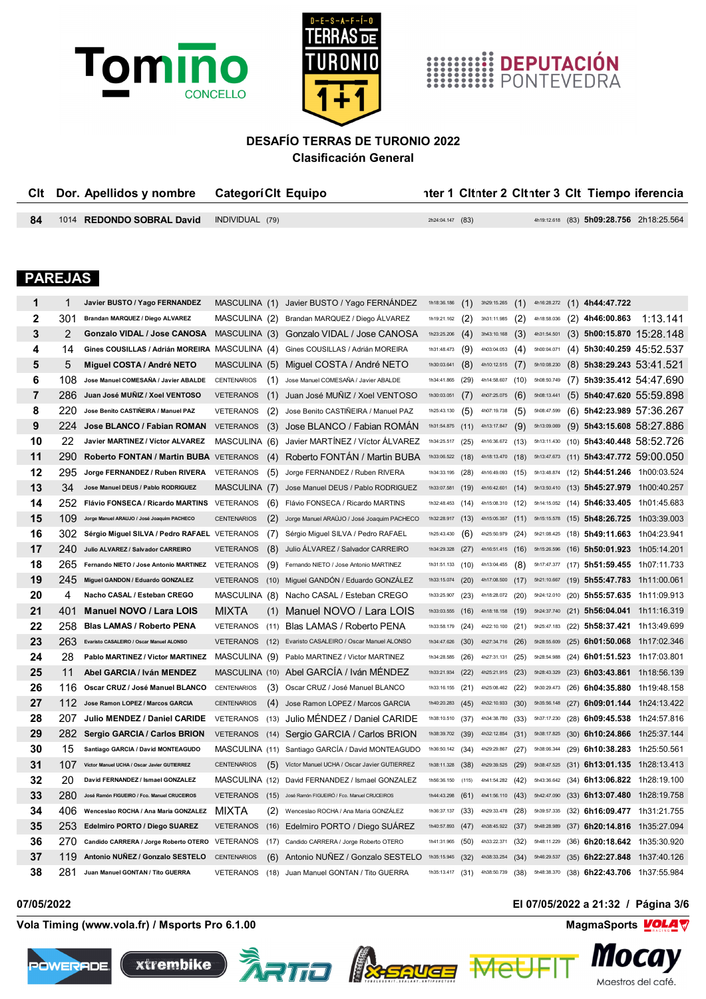



# **HIMMINE DEPUTACIÓN**<br>**HIMMINE PONTEVEDRA**

## **DESAFÍO TERRAS DE TURONIO 2022**

**Clasificación General**

| Cit |                | Dor. Apellidos y nombre                                                         | <b>CategoriClt Equipo</b> |                                                                              |                  |       |                              |     |             | nter 1 Citnter 2 Citnter 3 Cit Tiempo iferencia           |                                                                            |
|-----|----------------|---------------------------------------------------------------------------------|---------------------------|------------------------------------------------------------------------------|------------------|-------|------------------------------|-----|-------------|-----------------------------------------------------------|----------------------------------------------------------------------------|
| 84  |                | 1014 REDONDO SOBRAL David                                                       | INDIVIDUAL (79)           |                                                                              | 2h24:04.147 (83) |       |                              |     |             | 4h19:12.618 (83) 5h09:28.756 2h18:25.564                  |                                                                            |
|     | <b>PAREJAS</b> |                                                                                 |                           |                                                                              |                  |       |                              |     |             |                                                           |                                                                            |
| 1   | 1              | Javier BUSTO / Yago FERNANDEZ                                                   |                           | MASCULINA (1) Javier BUSTO / Yago FERNANDEZ                                  | 1h18:36.186      | (1)   | 3h29:15.265 $(1)$            |     | 4h16:28.272 | $(1)$ 4h44:47.722                                         |                                                                            |
| 2   | 301            | Brandan MARQUEZ / Diego ALVAREZ                                                 |                           | MASCULINA (2) Brandan MARQUEZ / Diego ÁLVAREZ                                | 1h19:21.162      | (2)   | 3h31:11.985                  | (2) | 4h18:58.036 | $(2)$ 4h46:00.863                                         | 1:13.141                                                                   |
| 3   | 2              | Gonzalo VIDAL / Jose CANOSA                                                     |                           | MASCULINA (3) Gonzalo VIDAL / Jose CANOSA                                    | 1h23:25.206      | (4)   | $3h43:10.168$ (3)            |     | 4h31:54.501 | $(3)$ 5h00:15.870 15:28.148                               |                                                                            |
| 4   | 14             | Gines COUSILLAS / Adrián MOREIRA MASCULINA (4) Gines COUSILLAS / Adrián MOREIRA |                           |                                                                              | 1h31:48.473      | (9)   | 4h03:04.053 $(4)$            |     | 5h00:04.071 | $(4)$ 5h30:40.259 45:52.537                               |                                                                            |
| 5   | 5              | Miguel COSTA / André NETO                                                       |                           | MASCULINA (5) Miguel COSTA / André NETO                                      | 1h30:03.641      | (8)   | 4h10:12.515 $(7)$            |     | 5h10:08.230 | $(8)$ 5h38:29.243 53:41.521                               |                                                                            |
| 6   | 108            | Jose Manuel COMESAÑA / Javier ABALDE                                            | <b>CENTENARIOS</b><br>(1) | Jose Manuel COMESAÑA / Javier ABALDE                                         | 1h34:41.865      | (29)  | 4h14:58.607 (10)             |     | 5h08:50.749 | $(7)$ 5h39:35.412 54:47.690                               |                                                                            |
| 7   | 286            | Juan José MUÑIZ / Xoel VENTOSO                                                  | <b>VETERANOS</b><br>(1)   | Juan José MUNIZ / Xoel VENTOSO                                               | 1h30:03.051      | (7)   | 4h07:25.075 $(6)$            |     | 5h08:13.441 | $(5)$ 5h40:47.620 55:59.898                               |                                                                            |
| 8   | 220.           | Jose Benito CASTIÑEIRA / Manuel PAZ                                             | <b>VETERANOS</b><br>(2)   | Jose Benito CASTIÑEIRA / Manuel PAZ                                          | 1h25:43.130      | (5)   | 4h07:19.738 $(5)$            |     | 5h08:47.599 | $(6)$ 5h42:23.989 57:36.267                               |                                                                            |
| 9   | 224            | Jose BLANCO / Fabian ROMAN                                                      | (3)<br><b>VETERANOS</b>   | Jose BLANCO / Fabian ROMAN                                                   | 1h31:54.875      | (11)  | 4h13:17.847                  | (9) | 5h13:09.069 | $(9)$ 5h43:15.608 58:27.886                               |                                                                            |
| 10  | 22             | Javier MARTINEZ / Víctor ALVAREZ                                                | MASCULINA (6)             | Javier MARTÍNEZ / Víctor ÁLVAREZ                                             | 1h34:25.517      | (25)  | 4h16:36.672 (13) 5h13:11.430 |     |             | (10) 5h43:40.448 58:52.726                                |                                                                            |
| 11  | 290            | Roberto FONTAN / Martin BUBA VETERANOS                                          | (4)                       | Roberto FONTAN / Martin BUBA                                                 | 1h33:06.522      | (18)  |                              |     |             |                                                           | 4h18:13.470 (18) 5h13:47.673 (11) 5h43:47.772 59:00.050                    |
| 12  | 295            | Jorge FERNANDEZ / Ruben RIVERA                                                  | VETERANOS<br>(5)          | Jorge FERNANDEZ / Ruben RIVERA                                               | 1h34:33.195      | (28)  | 4h16:49.093 (15)             |     |             | 5h13:48.874 (12) 5h44:51.246 1h00:03.524                  |                                                                            |
| 13  | 34             | Jose Manuel DEUS / Pablo RODRIGUEZ                                              | MASCULINA (7)             | Jose Manuel DEUS / Pablo RODRIGUEZ                                           | 1h33:07.581      | (19)  |                              |     |             |                                                           | 4h16:42.601 (14) 5h13:50.410 (13) 5h45:27.979 1h00:40.257                  |
| 14  | 252.           | Flávio FONSECA / Ricardo MARTINS                                                | VETERANOS<br>(6)          | Flávio FONSECA / Ricardo MARTINS                                             | 1h32:48.453      | (14)  | 4h15:08.310 (12)             |     |             | 5h14:15.052 (14) 5h46:33.405 1h01:45.683                  |                                                                            |
| 15  | 109            | Jorge Manuel ARAUJO / José Joaquim PACHECO                                      | (2)<br><b>CENTENARIOS</b> | Jorge Manuel ARAÚJO / José Joaquim PACHECO                                   | 1h32:28.917      | (13)  | 4h15:05.357 (11)             |     |             | $5h15:15.578$ (15) 5h48:26.725 1h03:39.003                |                                                                            |
| 16  | 302            | Sérgio Miguel SILVA / Pedro RAFAEL VETERANOS                                    | (7)                       | Sérgio Miguel SILVA / Pedro RAFAEL                                           | 1h25:43.430      | (6)   | 4h25:50.979 (24)             |     |             | 5h21:08.425 (18) 5h49:11.663 1h04:23.941                  |                                                                            |
| 17  | 240            | Julio ALVAREZ / Salvador CARREIRO                                               | <b>VETERANOS</b><br>(8)   | Julio ALVAREZ / Salvador CARREIRO                                            | 1h34:29.328      | (27)  |                              |     |             | 4h16:51.415 (16) 5h15:26.596 (16) 5h50:01.923 1h05:14.201 |                                                                            |
| 18  | 265            | Fernando NIETO / Jose Antonio MARTINEZ                                          | (9)<br>VETERANOS          | Fernando NIETO / Jose Antonio MARTINEZ                                       | 1h31:51.133      | (10)  | 4h13:04.455 $(8)$            |     |             | 5h17:47.377 (17) 5h51:59.455 1h07:11.733                  |                                                                            |
| 19  | 245            | Miguel GANDON / Eduardo GONZALEZ                                                | <b>VETERANOS</b>          | (10) Miguel GANDON / Eduardo GONZALEZ                                        | 1h33:15.074      | (20)  |                              |     |             | 4h17:08.500 (17) 5h21:10.667 (19) 5h55:47.783 1h11:00.061 |                                                                            |
| 20  | 4              | Nacho CASAL / Esteban CREGO                                                     |                           | MASCULINA (8) Nacho CASAL / Esteban CREGO                                    | 1h33:25.907      | (23)  | 4h18:28.072 (20)             |     |             | 5h24:12.010 (20) 5h55:57.635 1h11:09.913                  |                                                                            |
| 21  | 401            | Manuel NOVO / Lara LOIS                                                         | <b>MIXTA</b><br>(1)       | Manuel NOVO / Lara LOIS                                                      | 1h33:03.555      | (16)  | 4h18:18.158 (19)             |     | 5h24:37.740 | (21) <b>5h56:04.041</b> 1h11:16.319                       |                                                                            |
| 22  | 258            | <b>Blas LAMAS / Roberto PENA</b>                                                | VETERANOS                 | (11) Blas LAMAS / Roberto PENA                                               | 1h33:58.179      | (24)  | 4h22:10.100 (21)             |     | 5h25:47.183 | (22) 5h58:37.421 1h13:49.699                              |                                                                            |
| 23  |                | 263 Evaristo CASALEIRO / Oscar Manuel ALONSO                                    | <b>VETERANOS</b>          | (12) Evaristo CASALEIRO / Oscar Manuel ALONSO                                | 1h34:47.626      | (30)  | 4h27:34.716 (26)             |     |             | 5h28:55.609 (25) <b>6h01:50.068</b> 1h17:02.346           |                                                                            |
| 24  | 28             | Pablo MARTINEZ / Victor MARTINEZ                                                | MASCULINA (9)             | Pablo MARTINEZ / Victor MARTINEZ                                             | 1h34:28.585      | (26)  | 4h27:31.131 (25)             |     | 5h28:54.988 | (24) 6h01:51.523 1h17:03.801                              |                                                                            |
| 25  | 11             | Abel GARCIA / Iván MENDEZ                                                       |                           | MASCULINA (10) Abel GARCIA / Iván MÉNDEZ                                     | 1h33:21.934      | (22)  | 4h25:21.915 (23)             |     |             | 5h28:43.329 (23) 6h03:43.861 1h18:56.139                  |                                                                            |
| 26  | 116.           | Oscar CRUZ / José Manuel BLANCO                                                 | <b>CENTENARIOS</b>        | (3) Oscar CRUZ / José Manuel BLANCO                                          | 1h33:16.155      | (21)  | 4h25:08.462 (22)             |     |             | 5h30:29.473 (26) 6h04:35.880 1h19:48.158                  |                                                                            |
| 27  |                | 112 Jose Ramon LOPEZ / Marcos GARCIA                                            | <b>CENTENARIOS</b>        | (4) Jose Ramon LOPEZ / Marcos GARCIA                                         | 1h40:20.283      | (45)  |                              |     |             |                                                           | 4h32:10.933 (30) 5h35:56.148 (27) 6h09:01.144 1h24:13.422                  |
| 28  |                |                                                                                 |                           | 207 Julio MENDEZ / Daniel CARIDE VETERANOS (13) Julio MÉNDEZ / Daniel CARIDE |                  |       |                              |     |             |                                                           | 1h38:10.510 (37) 4h34:38.780 (33) 5h37:17.230 (28) 6h09:45.538 1h24:57.816 |
| 29  | 282            | Sergio GARCIA / Carlos BRION                                                    |                           | VETERANOS (14) Sergio GARCIA / Carlos BRION                                  | 1h38:39.702 (39) |       |                              |     |             | 4h32:12.854 (31) 5h38:17.825 (30) 6h10:24.866 1h25:37.144 |                                                                            |
| 30  | 15             | Santiago GARCIA / David MONTEAGUDO                                              |                           | MASCULINA (11) Santiago GARCÍA / David MONTEAGUDO                            | 1h36:50.142 (34) |       | 4h29:29.867 (27)             |     |             | 5h38:06.344 (29) 6h10:38.283 1h25:50.561                  |                                                                            |
| 31  | 107            | Victor Manuel UCHA / Oscar Javier GUTIERREZ                                     | <b>CENTENARIOS</b>        | (5) Víctor Manuel UCHA / Oscar Javier GUTIERREZ                              | 1h38:11.328      | (38)  | 4h29:39.525 (29)             |     |             | 5h38:47.525 (31) 6h13:01.135 1h28:13.413                  |                                                                            |
| 32  | 20             | David FERNANDEZ / Ismael GONZALEZ                                               |                           | MASCULINA (12) David FERNANDEZ / Ismael GONZALEZ                             | 1h56:36.150      | (115) | 4h41:54.282 (42)             |     | 5h43:36.642 | $(34)$ 6h13:06.822 1h28:19.100                            |                                                                            |
| 33  | 280            | José Ramón FIGUEIRO / Fco. Manuel CRUCEIROS                                     | VETERANOS                 | (15) José Ramón FIGUEIRÓ / Fco. Manuel CRUCEIROS                             | 1h44:43.298      | (61)  | 4h41:56.110 $(43)$           |     | 5h42:47.090 | $(33)$ 6h13:07.480 1h28:19.758                            |                                                                            |
| 34  | 406            | Wenceslao ROCHA / Ana Maria GONZALEZ                                            | <b>MIXTA</b><br>(2)       | Wenceslao ROCHA / Ana Maria GONZÁLEZ                                         | 1h36:37.137      | (33)  | 4h29:33.478 (28)             |     | 5h39:57.335 | (32) 6h16:09.477 1h31:21.755                              |                                                                            |
| 35  | 253            | Edelmiro PORTO / Diego SUAREZ                                                   | <b>VETERANOS</b>          | (16) Edelmiro PORTO / Diego SUAREZ                                           | 1h40:57.893      | (47)  | 4h38:45.922 (37)             |     | 5h48:28.989 | $(37)$ 6h20:14.816 1h35:27.094                            |                                                                            |
| 36  | 270            | Candido CARRERA / Jorge Roberto OTERO VETERANOS                                 |                           | (17) Candido CARRERA / Jorge Roberto OTERO                                   | 1h41:31.965      | (50)  | 4h33:22.371 (32)             |     | 5h48:11.229 | (36) 6h20:18.642 1h35:30.920                              |                                                                            |
| 37  | 119            | Antonio NUNEZ / Gonzalo SESTELO                                                 | CENTENARIOS<br>(6)        | Antonio NUÑEZ / Gonzalo SESTELO                                              | 1h35:15.945      | (32)  | 4h38:33.254 (34)             |     | 5h46:29.537 | (35) <b>6h22:27.848</b> 1h37:40.126                       |                                                                            |
| 38  | 281            | Juan Manuel GONTAN / Tito GUERRA                                                | <b>VETERANOS</b>          | (18) Juan Manuel GONTAN / Tito GUERRA                                        | 1h35:13.417      | (31)  | 4h38:50.739 (38)             |     | 5h48:38.370 | (38) 6h22:43.706 1h37:55.984                              |                                                                            |

**Vola Timing (www.vola.fr) / Msports Pro 6.1.00 MagmaSports MagmaSports MagmaSports MagmaSports MagmaSports MagmaSports MagmaSports MagmaSports MagmaSports MagmaSports MagmaSports MagmaSports Mag** 









Me

**07/05/2022 El 07/05/2022 a 21:32 / Página 3/6**

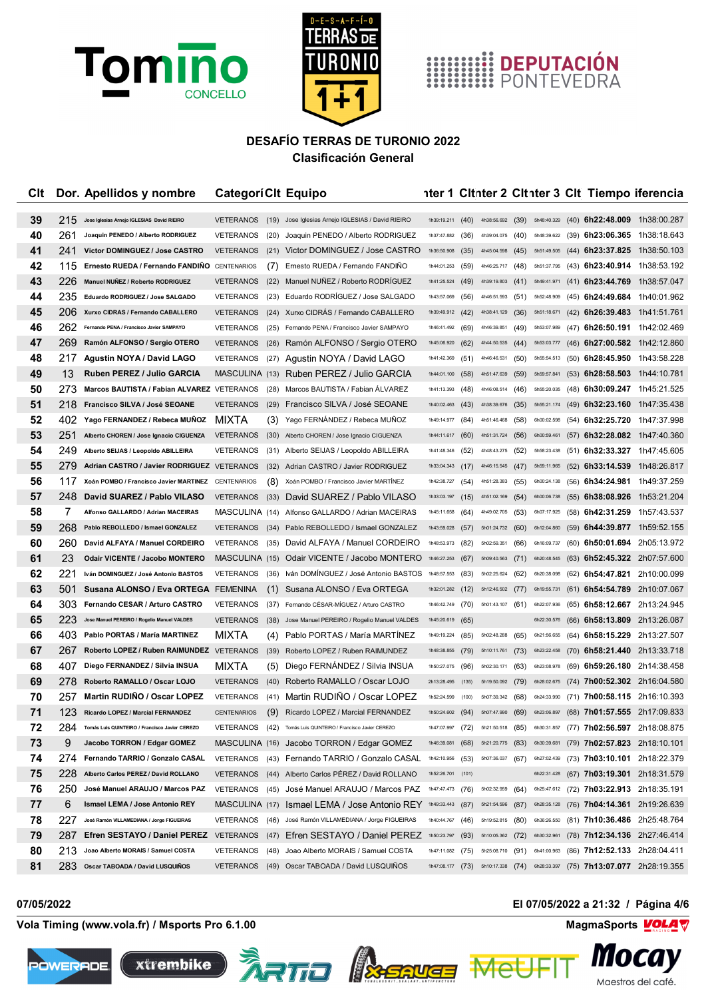



# **HIMILE DEPUTACIÓN**<br>**HIMILE PONTEVEDRA**

### **DESAFÍO TERRAS DE TURONIO 2022 Clasificación General**

| Clt |      | Dor. Apellidos y nombre                        | <b>CategoriClt Equipo</b> |      |                                                               |                    |       |                    |      |             |      | nter 1 Citnter 2 Citnter 3 Cit Tiempo iferencia |                                                           |
|-----|------|------------------------------------------------|---------------------------|------|---------------------------------------------------------------|--------------------|-------|--------------------|------|-------------|------|-------------------------------------------------|-----------------------------------------------------------|
| 39  | 215  | Jose Iglesias Arnejo IGLESIAS David RIEIRO     | <b>VETERANOS</b>          |      | (19) Jose Iglesias Arnejo IGLESIAS / David RIEIRO             | 1h39:19.211 $(40)$ |       | 4h38:56.692 (39)   |      |             |      |                                                 | 5h48:40.329 (40) 6h22:48.009 1h38:00.287                  |
| 40  | 261  | Joaquin PENEDO / Alberto RODRIGUEZ             | <b>VETERANOS</b>          | (20) | Joaquin PENEDO / Alberto RODRIGUEZ                            | 1h37:47.882        | (36)  | 4h39:04.075 (40)   |      |             |      | 5h48:39.622 (39) 6h23:06.365 1h38:18.643        |                                                           |
| 41  | 241  | Victor DOMINGUEZ / Jose CASTRO                 | <b>VETERANOS</b>          | (21) | Victor DOMINGUEZ / Jose CASTRO                                | 1h36:50.908        | (35)  | 4h45:04.598 (45)   |      | 5h51:49.505 |      |                                                 | $(44)$ 6h23:37.825 1h38:50.103                            |
| 42  | 115  | Ernesto RUEDA / Fernando FANDIÑO               | CENTENARIOS               | (7)  | Ernesto RUEDA / Fernando FANDIÑO                              | 1h44:01.253        | (59)  | 4h46:25.717        | (48) | 5h51:37.795 |      |                                                 | (43) 6h23:40.914 1h38:53.192                              |
| 43  | 226  | Manuel NUÑEZ / Roberto RODRIGUEZ               | VETERANOS                 | (22) | Manuel NUÑEZ / Roberto RODRIGUEZ                              | 1h41:25.524        | (49)  | 4h39:19.803 (41)   |      | 5h49:41.971 |      |                                                 | $(41)$ 6h23:44.769 1h38:57.047                            |
| 44  | 235  | Eduardo RODRIGUEZ / Jose SALGADO               | <b>VETERANOS</b>          | (23) | Eduardo RODRÍGUEZ / Jose SALGADO                              | 1h43:57.069        | (56)  | 4h46:51.593        | (51) | 5h52:48.909 |      | (45) 6h24:49.684 1h40:01.962                    |                                                           |
| 45  | 206  | Xurxo CIDRAS / Fernando CABALLERO              | <b>VETERANOS</b>          | (24) | Xurxo CIDRAS / Fernando CABALLERO                             | 1h39:49.912 (42)   |       | 4h38:41.129 (36)   |      | 5h51:18.671 |      | (42) 6h26:39.483 1h41:51.761                    |                                                           |
| 46  | 262  | Fernando PENA / Francisco Javier SAMPAYO       | <b>VETERANOS</b>          | (25) | Fernando PENA / Francisco Javier SAMPAYO                      | 1h46:41.492        | (69)  | 4h46:39.851 (49)   |      | 5h53:07.989 |      | (47) 6h26:50.191 1h42:02.469                    |                                                           |
| 47  | 269  | Ramón ALFONSO / Sergio OTERO                   | <b>VETERANOS</b>          | (26) | Ramón ALFONSO / Sergio OTERO                                  | 1h45:06.920 (62)   |       | 4h44:50.535 (44)   |      | 5h53:03.777 |      |                                                 | (46) 6h27:00.582 1h42:12.860                              |
| 48  | 217  | Agustin NOYA / David LAGO                      | VETERANOS                 |      | (27) Agustin NOYA / David LAGO                                | 1h41:42.369        | (51)  | 4h46:46.531        | (50) | 5h55:54.513 |      | $(50)$ 6h28:45.950 1h43:58.228                  |                                                           |
| 49  | 13   | Ruben PEREZ / Julio GARCIA                     |                           |      | MASCULINA (13) Ruben PEREZ / Julio GARCIA                     | 1h44:01.100        | (58)  | 4h51:47.639 (59)   |      | 5h59:57.841 |      | $(53)$ 6h28:58.503 1h44:10.781                  |                                                           |
| 50  | 273  | Marcos BAUTISTA / Fabian ALVAREZ VETERANOS     |                           | (28) | Marcos BAUTISTA / Fabian ALVAREZ                              | 1h41:13.393        | (48)  | 4h46:08.514 (46)   |      | 5h55:20.035 |      | (48) 6h30:09.247 1h45:21.525                    |                                                           |
| 51  | 218  | Francisco SILVA / José SEOANE                  | <b>VETERANOS</b>          | (29) | Francisco SILVA / José SEOANE                                 | 1h40:02.463        | (43)  | 4h38:39.676 (35)   |      | 5h55:21.174 |      |                                                 | (49) 6h32:23.160 1h47:35.438                              |
| 52  | 402  | Yago FERNANDEZ / Rebeca MUÑOZ                  | MIXTA                     | (3)  | Yago FERNANDEZ / Rebeca MUÑOZ                                 | 1h49:14.977        | (84)  | 4h51:46.468 (58)   |      | 6h00:02.598 |      | $(54)$ 6h32:25.720 1h47:37.998                  |                                                           |
| 53  | 251  | Alberto CHOREN / Jose Ignacio CIGUENZA         | <b>VETERANOS</b>          | (30) | Alberto CHOREN / Jose Ignacio CIGUENZA                        | 1h44:11.617 (60)   |       | 4h51:31.724 (56)   |      | 6h00:59.461 |      |                                                 | $(57)$ 6h32:28.082 1h47:40.360                            |
| 54  | 249  | Alberto SEIJAS / Leopoldo ABILLEIRA            | VETERANOS                 | (31) | Alberto SEIJAS / Leopoldo ABILLEIRA                           | 1h41:48.346        | (52)  | 4h48:43.275 (52)   |      | 5h58:23.438 |      | (51) 6h32:33.327 1h47:45.605                    |                                                           |
| 55  | 279. | Adrian CASTRO / Javier RODRIGUEZ VETERANOS     |                           | (32) | Adrian CASTRO / Javier RODRIGUEZ                              | 1h33:04.343        | (17)  | 4h46:15.545 (47)   |      | 5h59:11.965 |      |                                                 | $(52)$ 6h33:14.539 1h48:26.817                            |
| 56  | 117  | Xoán POMBO / Francisco Javier MARTINEZ         | CENTENARIOS               | (8)  | Xoán POMBO / Francisco Javier MARTÍNEZ                        | 1h42:38.727        | (54)  | 4h51:28.383        | (55) | 6h00:24.138 |      | (56) 6h34:24.981 1h49:37.259                    |                                                           |
| 57  | 248  | David SUAREZ / Pablo VILASO                    | <b>VETERANOS</b>          | (33) | David SUAREZ / Pablo VILASO                                   | 1h33:03.197        | (15)  | 4h51:02.169 $(54)$ |      | 6h00:06.738 |      |                                                 | $(55)$ 6h38:08.926 1h53:21.204                            |
| 58  | 7    | Alfonso GALLARDO / Adrian MACEIRAS             | MASCULINA (14)            |      | Alfonso GALLARDO / Adrian MACEIRAS                            | 1h45:11.658        | (64)  | 4h49:02.705 (53)   |      | 6h07:17.925 |      | (58) 6h42:31.259 1h57:43.537                    |                                                           |
| 59  | 268  | Pablo REBOLLEDO / Ismael GONZALEZ              | VETERANOS                 | (34) | Pablo REBOLLEDO / Ismael GONZALEZ                             | 1h43:59.028        | (57)  | 5h01:24.732 (60)   |      | 6h12:04.860 |      |                                                 | (59) 6h44:39.877 1h59:52.155                              |
| 60  | 260  | David ALFAYA / Manuel CORDEIRO                 | VETERANOS                 |      | (35) David ALFAYA / Manuel CORDEIRO                           | 1h48:53.973        | (82)  | 5h02:59.351        | (66) | 6h16:09.737 |      |                                                 | (60) 6h50:01.694 2h05:13.972                              |
| 61  | 23   | <b>Odair VICENTE / Jacobo MONTERO</b>          |                           |      | MASCULINA (15) Odair VICENTE / Jacobo MONTERO                 | 1h46:27.253        | (67)  | 5h09:40.563        | (71) | 6h20:48.545 |      |                                                 | (63) 6h52:45.322 2h07:57.600                              |
| 62  | 221  | Iván DOMINGUEZ / José Antonio BASTOS           | <b>VETERANOS</b>          | (36) | Iván DOMINGUEZ / José Antonio BASTOS                          | 1h48:57.553        | (83)  | 5h02:25.624        | (62) | 6h20:38.098 |      | (62) 6h54:47.821 2h10:00.099                    |                                                           |
| 63  | 501  | Susana ALONSO / Eva ORTEGA FEMENINA            |                           | (1)  | Susana ALONSO / Eva ORTEGA                                    | 1h32:01.282 (12)   |       | 5h12:46.502 (77)   |      | 6h19:55.731 | (61) |                                                 | 6h54:54.789 2h10:07.067                                   |
| 64  | 303  | Fernando CESAR / Arturo CASTRO                 | VETERANOS                 | (37) | Fernando CÉSAR-MÍGUEZ / Arturo CASTRO                         | 1h46:42.749 (70)   |       | $5h01:43.107$ (61) |      | 6h22:07.936 |      | (65) 6h58:12.667 2h13:24.945                    |                                                           |
| 65  | 223  | Jose Manuel PEREIRO / Rogelio Manuel VALDES    | <b>VETERANOS</b>          | (38) | Jose Manuel PEREIRO / Rogelio Manuel VALDES                   | 1h45:20.619 (65)   |       |                    |      | 6h22:30.576 |      | (66) 6h58:13.809 2h13:26.087                    |                                                           |
| 66  | 403  | Pablo PORTAS / María MARTINEZ                  | MIXTA                     | (4)  | Pablo PORTAS / María MARTINEZ                                 | 1h49:19.224        | (85)  | 5h02:48.288        | (65) | 6h21:56.655 |      | (64) 6h58:15.229 2h13:27.507                    |                                                           |
| 67  | 267  | Roberto LOPEZ / Ruben RAIMUNDEZ VETERANOS      |                           | (39) | Roberto LOPEZ / Ruben RAIMUNDEZ                               | 1h48:38.855 (79)   |       | 5h10:11.761        | (73) | 6h23:22.458 |      |                                                 | $(70)$ 6h58:21.440 2h13:33.718                            |
| 68  | 407  | Diego FERNANDEZ / Silvia INSUA                 | MIXTA                     | (5)  | Diego FERNANDEZ / Silvia INSUA                                | 1h50:27.075        | (96)  | 5h02:30.171        | (63) | 6h23:08.978 |      | (69) 6h59:26.180 2h14:38.458                    |                                                           |
| 69  | 278  | Roberto RAMALLO / Oscar LOJO                   | <b>VETERANOS</b>          | (40) | Roberto RAMALLO / Oscar LOJO                                  | 2h13:28.495 (135)  |       | 5h19:50.092 (79)   |      | 6h28:02.675 |      |                                                 | (74) 7h00:52.302 2h16:04.580                              |
| 70  | 257  | <b>Martin RUDINO / Oscar LOPEZ</b>             | VETERANOS                 | (41) | Martin RUDINO / Oscar LOPEZ                                   | 1h52:24.599        | (100) | 5h07:39.342 (68)   |      | 6h24:33.990 |      | (71) 7h00:58.115 2h16:10.393                    |                                                           |
| 71  | 123  | Ricardo LOPEZ / Marcial FERNANDEZ              | <b>CENTENARIOS</b>        | (9)  | Ricardo LOPEZ / Marcial FERNANDEZ                             | 1h50:24.602        | (94)  | 5h07:47.990 (69)   |      | 6h23:06.897 |      | $(68)$ 7h01:57.555 2h17:09.833                  |                                                           |
| 72  | 284  | Tomás Luis QUINTEIRO / Francisco Javier CEREZO |                           |      | VETERANOS (42) Tomás Luis QUINTEIRO / Francisco Javier CEREZO | 1h47:07.997        | (72)  | 5h21:50.518 (85)   |      | 6h30:31.857 |      | (77) 7h02:56.597 2h18:08.875                    |                                                           |
| 73  | 9    | Jacobo TORRON / Edgar GOMEZ                    |                           |      | MASCULINA (16) Jacobo TORRON / Edgar GOMEZ                    | 1h46:39.081        | (68)  | 5h21:20.775 (83)   |      | 6h30:39.681 |      | (79) <b>7h02:57.823</b> 2h18:10.101             |                                                           |
| 74  | 274  | Fernando TARRIO / Gonzalo CASAL                | VETERANOS                 |      | (43) Fernando TARRIO / Gonzalo CASAL                          | 1h42:10.956        | (53)  | 5h07:36.037 (67)   |      | 6h27:02.439 |      | (73) 7h03:10.101 2h18:22.379                    |                                                           |
| 75  | 228  | Alberto Carlos PEREZ / David ROLLANO           | VETERANOS                 |      | (44) Alberto Carlos PEREZ / David ROLLANO                     | 1h52:26.701 (101)  |       |                    |      | 6h22:31.428 |      | $(67)$ 7h03:19.301 2h18:31.579                  |                                                           |
| 76  | 250  | José Manuel ARAUJO / Marcos PAZ                | VETERANOS                 |      | (45) José Manuel ARAUJO / Marcos PAZ                          | 1h47:47.473 (76)   |       | 5h02:32.959 (64)   |      |             |      | 6h25:47.612 (72) 7h03:22.913 2h18:35.191        |                                                           |
| 77  | 6    | Ismael LEMA / Jose Antonio REY                 |                           |      | MASCULINA (17) Ismael LEMA / Jose Antonio REY                 | 1h49:33.443 (87)   |       | 5h21:54.596 (87)   |      | 6h28:35.128 |      | (76) 7h04:14.361 2h19:26.639                    |                                                           |
| 78  | 227  | José Ramón VILLAMEDIANA / Jorge FIGUEIRAS      | VETERANOS                 |      | (46) José Ramón VILLAMEDIANA / Jorge FIGUEIRAS                | 1h40:44.767 (46)   |       | 5h19:52.815 (80)   |      | 6h36:26.550 |      | (81) 7h10:36.486 2h25:48.764                    |                                                           |
| 79  | 287. | Efren SESTAYO / Daniel PEREZ                   | VETERANOS                 |      | (47) Efren SESTAYO / Daniel PEREZ                             | 1h50:23.797 (93)   |       | 5h10:05.362 (72)   |      | 6h30:32.961 |      |                                                 | (78) 7h12:34.136 2h27:46.414                              |
| 80  | 213  | Joao Alberto MORAIS / Samuel COSTA             | VETERANOS                 | (48) | Joao Alberto MORAIS / Samuel COSTA                            | 1h47:11.082 (75)   |       | 5h25:08.710 (91)   |      | 6h41:00.963 |      | (86) 7h12:52.133 2h28:04.411                    |                                                           |
| 81  | 283  | Oscar TABOADA / David LUSQUIÑOS                | <b>VETERANOS</b>          |      | (49) Oscar TABOADA / David LUSQUIÑOS                          | 1h47:08.177 (73)   |       |                    |      |             |      |                                                 | 5h10:17.338 (74) 6h28:33.397 (75) 7h13:07.077 2h28:19.355 |

**Vola Timing (www.vola.fr) / Msports Pro 6.1.00 MagmaSports MagmaSports MagmaSports MagmaSports MagmaSports MagmaSports MagmaSports MagmaSports MagmaSports MagmaSports MagmaSports MagmaSports Mag** 











**07/05/2022 El 07/05/2022 a 21:32 / Página 4/6**

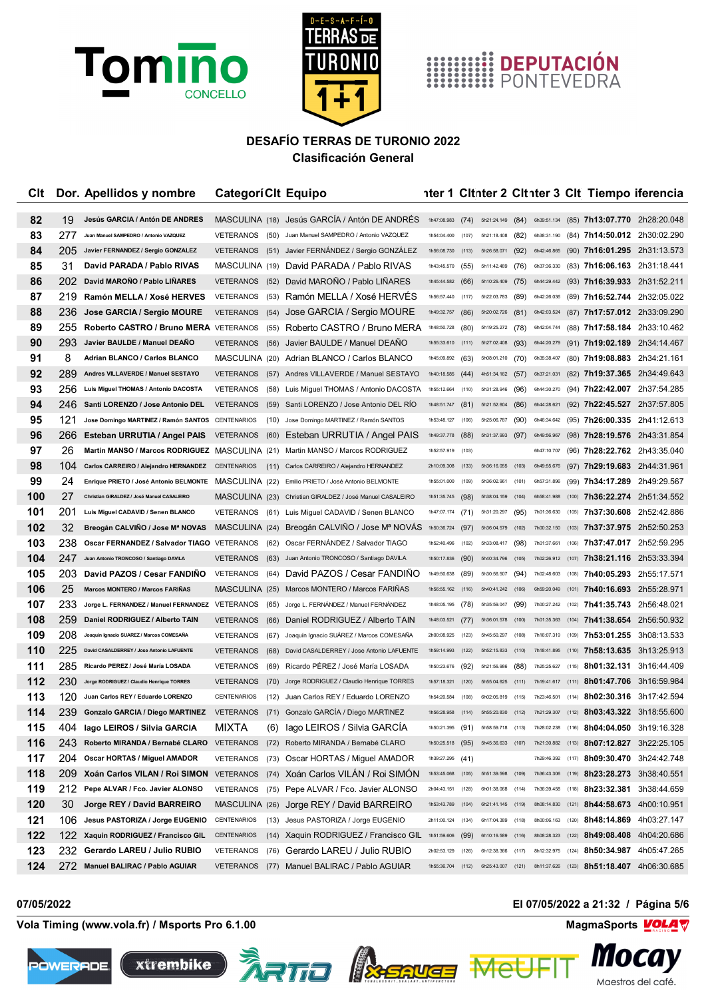



# **HIMILE DEPUTACIÓN**<br>**HIMILE PONTEVEDRA**

### **DESAFÍO TERRAS DE TURONIO 2022 Clasificación General**

| Clt      |           | Dor. Apellidos y nombre                                                                     | <b>CategoriClt Equipo</b>          |              |                                                                                   |                            |       |                                      |       |                            |       | nter 1 Citnter 2 Citnter 3 Cit Tiempo iferencia              |                                           |
|----------|-----------|---------------------------------------------------------------------------------------------|------------------------------------|--------------|-----------------------------------------------------------------------------------|----------------------------|-------|--------------------------------------|-------|----------------------------|-------|--------------------------------------------------------------|-------------------------------------------|
|          |           | Jesús GARCIA / Antón DE ANDRES                                                              |                                    |              |                                                                                   |                            |       |                                      |       |                            |       |                                                              |                                           |
| 82       | 19<br>277 | Juan Manuel SAMPEDRO / Antonio VAZQUEZ                                                      |                                    |              | MASCULINA (18) Jesús GARCIA / Antón DE ANDRES                                     | 1h47:08.983                | (74)  | 5h21:24.149 (84)                     |       | 6h39:51.134<br>6h38:31.190 |       |                                                              | (85) 7h13:07.770 2h28:20.048              |
| 83<br>84 | 205       | Javier FERNANDEZ / Sergio GONZALEZ                                                          | <b>VETERANOS</b>                   | (50)         | Juan Manuel SAMPEDRO / Antonio VAZQUEZ<br>(51) Javier FERNÁNDEZ / Sergio GONZÁLEZ | 1h54:04.400<br>1h56:08.730 | (107) | 5h21:18.408 (82)                     |       |                            |       | (84) 7h14:50.012 2h30:02.290<br>(90) 7h16:01.295 2h31:13.573 |                                           |
| 85       | 31        | David PARADA / Pablo RIVAS                                                                  | <b>VETERANOS</b>                   |              | David PARADA / Pablo RIVAS                                                        | 1h43:45.570                | (113) | 5h26:58.071 (92)<br>5h11:42.489      |       | 6h42:46.865<br>6h37:36.330 |       |                                                              |                                           |
| 86       | 202       | David MAROÑO / Pablo LIÑARES                                                                | MASCULINA (19)<br><b>VETERANOS</b> | (52)         | David MARONO / Pablo LINARES                                                      | 1h45:44.582                | (55)  | 5h10:26.409 (75)                     | (76)  | 6h44:29.442                |       | (83) 7h16:06.163 2h31:18.441<br>(93) 7h16:39.933 2h31:52.211 |                                           |
| 87       | 219       |                                                                                             |                                    |              |                                                                                   | 1h56:57.440                | (66)  | 5h22:03.783                          |       | 6h42:26.036                |       |                                                              |                                           |
| 88       | 236       | Ramón MELLA / Xosé HERVES                                                                   | VETERANOS                          | (53)         | Ramón MELLA / Xosé HERVES                                                         | 1h49:32.757                | (117) |                                      | (89)  | 6h42:03.524                |       | (89) 7h16:52.744 2h32:05.022<br>(87) 7h17:57.012 2h33:09.290 |                                           |
| 89       | 255       | Jose GARCIA / Sergio MOURE<br>Roberto CASTRO / Bruno MERA VETERANOS                         | <b>VETERANOS</b>                   | (54)         | Jose GARCIA / Sergio MOURE                                                        | 1h48:50.728                | (86)  | 5h20:02.726 (81)                     |       | 6h42:04.744                |       |                                                              |                                           |
| 90       | 293       | Javier BAULDE / Manuel DEAÑO                                                                | <b>VETERANOS</b>                   | (55)         | Roberto CASTRO / Bruno MERA                                                       | 1h55:33.610 (111)          | (80)  | 5h19:25.272 (78)<br>5h27:02.408 (93) |       | 6h44:20.279                |       | (88) 7h17:58.184 2h33:10.462<br>(91) 7h19:02.189 2h34:14.467 |                                           |
| 91       | 8         | <b>Adrian BLANCO / Carlos BLANCO</b>                                                        |                                    | (56)         | Javier BAULDE / Manuel DEANO<br>MASCULINA (20) Adrian BLANCO / Carlos BLANCO      | 1h45:09.892                | (63)  | 5h08:01.210 (70)                     |       | 6h35:38.407                |       | (80) 7h19:08.883 2h34:21.161                                 |                                           |
| 92       | 289       | Andres VILLAVERDE / Manuel SESTAYO                                                          |                                    |              |                                                                                   | 1h40:18.585                |       |                                      |       | 6h37:21.031                |       | (82) 7h19:37.365 2h34:49.643                                 |                                           |
| 93       | 256       | Luis Miguel THOMAS / Antonio DACOSTA                                                        | <b>VETERANOS</b><br>VETERANOS      |              | (57) Andres VILLAVERDE / Manuel SESTAYO<br>Luis Miguel THOMAS / Antonio DACOSTA   | 1h55:12.664 (110)          | (44)  | 4h51:34.162 (57)<br>5h31:28.946 (96) |       | 6h44:30.270                |       | (94) 7h22:42.007 2h37:54.285                                 |                                           |
| 94       | 246       | Santi LORENZO / Jose Antonio DEL                                                            | <b>VETERANOS</b>                   | (58)         | Santi LORENZO / Jose Antonio DEL RÍO                                              | 1h48:51.747                | (81)  | 5h21:52.604                          | (86)  | 6h44:28.621                |       | (92) <b>7h22:45.527</b> 2h37:57.805                          |                                           |
| 95       | 121       | Jose Domingo MARTINEZ / Ramón SANTOS                                                        | CENTENARIOS                        | (59)<br>(10) | Jose Domingo MARTINEZ / Ramón SANTOS                                              | 1h53:48.127                | (106) | 5h25:06.787                          | (90)  | 6h46:34.642                |       | (95) <b>7h26:00.335</b> 2h41:12.613                          |                                           |
| 96       | 266       | Esteban URRUTIA / Angel PAIS                                                                | <b>VETERANOS</b>                   |              | (60) Esteban URRUTIA / Angel PAIS                                                 | 1h49:37.778                | (88)  | 5h31:37.993 (97)                     |       | 6h49:56.967                |       | (98) 7h28:19.576 2h43:31.854                                 |                                           |
| 97       | 26        | Martin MANSO / Marcos RODRIGUEZ MASCULINA (21) Martin MANSO / Marcos RODRIGUEZ              |                                    |              |                                                                                   | 1h52:57.919 (103)          |       |                                      |       | 6h47:10.707                |       | (96) 7h28:22.762 2h43:35.040                                 |                                           |
| 98       | 104       | Carlos CARREIRO / Alejandro HERNANDEZ CENTENARIOS                                           |                                    |              | (11) Carlos CARREIRO / Alejandro HERNANDEZ                                        | 2h10:09.308 (133)          |       | 5h36:16.055 (103)                    |       | 6h49:55.676                |       | (97) <b>7h29:19.683</b> 2h44:31.961                          |                                           |
| 99       | 24        | Enrique PRIETO / José Antonio BELMONTE MASCULINA (22) Emilio PRIETO / José Antonio BELMONTE |                                    |              |                                                                                   | 1h55:01.000 (109)          |       | 5h36:02.961 (101)                    |       | 6h57:31.896                |       | (99) 7h34:17.289 2h49:29.567                                 |                                           |
| 100      | 27        | Christian GIRALDEZ / José Manuel CASALEIRO                                                  |                                    |              | MASCULINA (23) Christian GIRALDEZ / José Manuel CASALEIRO                         | 1h51:35.745                | (98)  | 5h38:04.159                          | (104) | 6h58:41.988                | (100) |                                                              | 7h36:22.274 2h51:34.552                   |
| 101      | 201       | Luis Miguel CADAVID / Senen BLANCO                                                          | VETERANOS                          |              | (61) Luis Miguel CADAVID / Senen BLANCO                                           | 1h47:07.174 (71)           |       | 5h31:20.297                          | (95)  | 7h01:36.630                | (105) | 7h37:30.608 2h52:42.886                                      |                                           |
| 102      | 32        | Breogán CALVIÑO / Jose Mª NOVAS                                                             |                                    |              | MASCULINA (24) Breogán CALVIÑO / Jose Mª NOVÁS                                    | 1h50:36.724 (97)           |       | 5h36:04.579 (102)                    |       | 7h00:32.150                |       | (103) <b>7h37:37.975</b> 2h52:50.253                         |                                           |
| 103      | 238       | Oscar FERNANDEZ / Salvador TIAGO                                                            | VETERANOS                          | (62)         | Oscar FERNANDEZ / Salvador TIAGO                                                  | 1h52:40.496                | (102) | 5h33:08.417                          | (98)  | 7h01:37.661                |       | (106) <b>7h37:47.017</b> 2h52:59.295                         |                                           |
| 104      | 247       | Juan Antonio TRONCOSO / Santiago DAVILA                                                     | <b>VETERANOS</b>                   | (63)         | Juan Antonio TRONCOSO / Santiago DAVILA                                           | 1h50:17.836 (90)           |       | 5h40:34.796                          | (105) |                            |       |                                                              | 7h02:26.912 (107) 7h38:21.116 2h53:33.394 |
| 105      | 203       | David PAZOS / Cesar FANDINO                                                                 | VETERANOS                          |              | (64) David PAZOS / Cesar FANDINO                                                  | 1h49:50.638                | (89)  | 5h30:56.507 (94)                     |       | 7h02:48.603                |       | (108) <b>7h40:05.293</b> 2h55:17.571                         |                                           |
| 106      | 25        | <b>Marcos MONTERO / Marcos FARIÑAS</b>                                                      | MASCULINA (25)                     |              | Marcos MONTERO / Marcos FARIÑAS                                                   | 1h56:55.162                | (116) | 5h40:41.242 (106)                    |       | 6h59:20.049                |       | (101) <b>7h40:16.693</b> 2h55:28.971                         |                                           |
| 107      | 233       | Jorge L. FERNANDEZ / Manuel FERNANDEZ                                                       | VETERANOS                          | (65)         | Jorge L. FERNÁNDEZ / Manuel FERNÁNDEZ                                             | 1h48:05.195                | (78)  | 5h35:59.047                          | (99)  | 7h00:27.242                |       | $(102)$ 7h41:35.743 2h56:48.021                              |                                           |
| 108      | 259       | Daniel RODRIGUEZ / Alberto TAIN                                                             | <b>VETERANOS</b>                   | (66)         | Daniel RODRIGUEZ / Alberto TAIN                                                   | 1h48:03.521                | (77)  | 5h36:01.578 (100)                    |       | 7h01:35.363                | (104) | 7h41:38.654 2h56:50.932                                      |                                           |
| 109      | 208       | Joaquín Ignacio SUAREZ / Marcos COMESAÑA                                                    | <b>VETERANOS</b>                   | (67)         | Joaquín Ignacio SUÁREZ / Marcos COMESAÑA                                          | 2h00:08.925                | (123) | 5h45:50.297                          | (108) | 7h16:07.319                |       | $(109)$ 7h53:01.255 3h08:13.533                              |                                           |
| 110      | 225       | David CASALDERREY / Jose Antonio LAFUENTE                                                   | <b>VETERANOS</b>                   | (68)         | David CASALDERREY / Jose Antonio LAFUENTE                                         | 1h59:14.993                | (122) | 5h52:15.833 (110)                    |       | 7h18:41.895                |       | $(110)$ 7h58:13.635 3h13:25.913                              |                                           |
| 111      | 285       | Ricardo PEREZ / José María LOSADA                                                           | <b>VETERANOS</b>                   | (69)         | Ricardo PÉREZ / José María LOSADA                                                 | 1h50:23.676                | (92)  | 5h21:56.986                          | (88)  | 7h25:25.627                | (115) | 8h01:32.131 3h16:44.409                                      |                                           |
| 112      | 230       | Jorge RODRIGUEZ / Claudio Henrique TORRES                                                   | <b>VETERANOS</b>                   | (70)         | Jorge RODRIGUEZ / Claudio Henrique TORRES                                         | 1h57:18.321                | (120) | 5h55:04.625                          | (111) | 7h19:41.617                | (111) | 8h01:47.706 3h16:59.984                                      |                                           |
| 113      | 120       | Juan Carlos REY / Eduardo LORENZO                                                           | <b>CENTENARIOS</b>                 | (12)         | Juan Carlos REY / Eduardo LORENZO                                                 | 1h54:20.584                | (108) | 6h02:05 819                          | (115) | 7h23:46.501                | (114) | 8h02:30.316 3h17:42.594                                      |                                           |
| 114      | 239       | <b>Gonzalo GARCIA / Diego MARTINEZ</b>                                                      | <b>VETERANOS</b>                   |              | (71) Gonzalo GARCIA / Diego MARTINEZ                                              | 1h56:28.958                | (114) | 5h55:20.830                          | (112) | 7h21:29.307                | (112) | 8h03:43.322 3h18:55.600                                      |                                           |
| 115      | 404       | lago LEIROS / Silvia GARCIA                                                                 | MIXTA                              | (6)          | Iago LEIROS / Silvia GARCÍA                                                       | 1h50:21.395                | (91)  | 5h58:59.718 (113)                    |       | 7h28:02.238                | (116) | 8h04:04.050 3h19:16.328                                      |                                           |
| 116      | 243       | Roberto MIRANDA / Bernabé CLARO                                                             | <b>VETERANOS</b>                   | (72)         | Roberto MIRANDA / Bernabé CLARO                                                   | 1h50:25.518 (95)           |       | 5h45:36.633 (107)                    |       | 7h21:30.882                | (113) | 8h07:12.827 3h22:25.105                                      |                                           |
| 117      | 204       | Oscar HORTAS / Miguel AMADOR                                                                | VETERANOS                          |              | (73) Oscar HORTAS / Miguel AMADOR                                                 | 1h39:27.295 (41)           |       |                                      |       | 7h29:46.392                | (117) | 8h09:30.470 3h24:42.748                                      |                                           |
| 118      | 209       | Xoán Carlos VILAN / Roi SIMON VETERANOS                                                     |                                    |              | (74) Xoán Carlos VILAN / Roi SIMON                                                | 1h53:45.068                | (105) | 5h51:39.598                          | (109) | 7h36:43.306                | (119) | 8h23:28.273 3h38:40.551                                      |                                           |
| 119      | 212       | Pepe ALVAR / Fco. Javier ALONSO                                                             | VETERANOS                          | (75)         | Pepe ALVAR / Fco. Javier ALONSO                                                   | 2h04:43.151                | (128) | 6h01:38.068                          | (114) | 7h36:39.458                | (118) | 8h23:32.381 3h38:44.659                                      |                                           |
| 120      | 30        | Jorge REY / David BARREIRO                                                                  |                                    |              | MASCULINA (26) Jorge REY / David BARREIRO                                         | 1h53:43.789                | (104) | 6h21:41.145 (119)                    |       | 8h08:14.830                | (121) | 8h44:58.673 4h00:10.951                                      |                                           |
| 121      | 106       | Jesus PASTORIZA / Jorge EUGENIO                                                             | CENTENARIOS                        |              | (13) Jesus PASTORIZA / Jorge EUGENIO                                              | 2h11:00.124                | (134) | 6h17:04.389                          | (118) | 8h00:06.163                | (120) | 8h48:14.869 4h03:27.147                                      |                                           |
| 122      | 122       | Xaquin RODRIGUEZ / Francisco GIL                                                            | CENTENARIOS                        |              | (14) Xaquin RODRIGUEZ / Francisco GIL                                             | 1h51:59.606 (99)           |       | 6h10:16.589 (116)                    |       | 8h08:28.323                |       | $(122)$ 8h49:08.408 4h04:20.686                              |                                           |
| 123      | 232       | Gerardo LAREU / Julio RUBIO                                                                 | VETERANOS                          |              | (76) Gerardo LAREU / Julio RUBIO                                                  | 2h02:53.129                | (126) | 6h12:38.366                          | (117) | 8h12:32.975                | (124) | 8h50:34.987 4h05:47.265                                      |                                           |
| 124      | 272       | Manuel BALIRAC / Pablo AGUIAR                                                               | <b>VETERANOS</b>                   |              | (77) Manuel BALIRAC / Pablo AGUIAR                                                | 1h55:36.704 (112)          |       | 6h25:43.007 (121)                    |       | 8h11:37.626                |       | $(123)$ 8h51:18.407 4h06:30.685                              |                                           |

**Vola Timing (www.vola.fr) / Msports Pro 6.1.00 MagmaSports MagmaSports MagmaSports MagmaSports MagmaSports MagmaSports MagmaSports MagmaSports MagmaSports MagmaSports MagmaSports MagmaSports Mag** 









Me

**07/05/2022 El 07/05/2022 a 21:32 / Página 5/6**